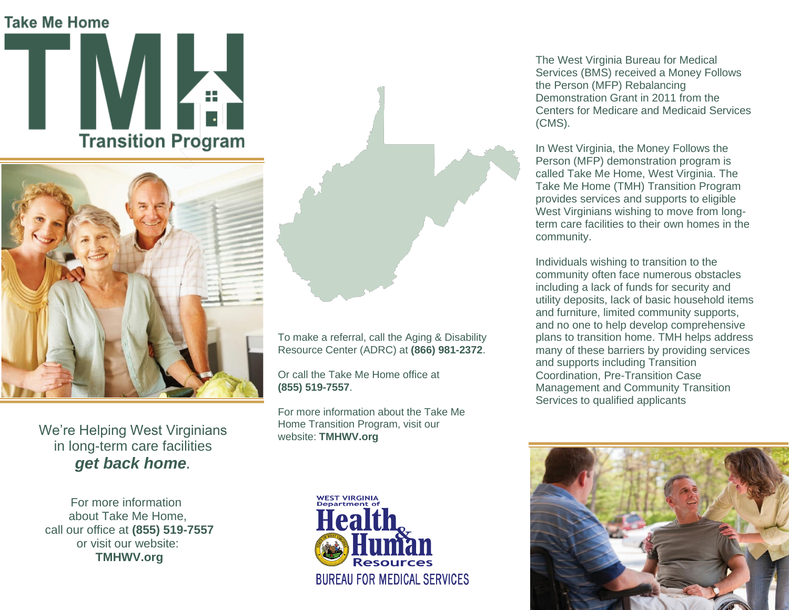## **Take Me Home**





We're Helping West Virginians in long-term care facilities *get back home.*

 For more information about Take Me Home, call our office at **(855) 519-7557** or visit our website:  **TMHWV.org**



To make a referral, call the Aging & Disability Resource Center (ADRC) at **(866) 981-2372**.

Or call the Take Me Home office at **(855) 519-7557**.

For more information about the Take Me Home Transition Program, visit our website: **TMHWV.org**



The West Virginia Bureau for Medical Services (BMS) received a Money Follows the Person (MFP) Rebalancing Demonstration Grant in 2011 from the Centers for Medicare and Medicaid Services (CMS).

In West Virginia, the Money Follows the Person (MFP) demonstration program is called Take Me Home, West Virginia. The Take Me Home (TMH) Transition Program provides services and supports to eligible West Virginians wishing to move from longterm care facilities to their own homes in the community.

Individuals wishing to transition to the community often face numerous obstacles including a lack of funds for security and utility deposits, lack of basic household items and furniture, limited community supports, and no one to help develop comprehensive plans to transition home. TMH helps address many of these barriers by providing services and supports including Transition Coordination, Pre-Transition Case Management and Community Transition Services to qualified applicants